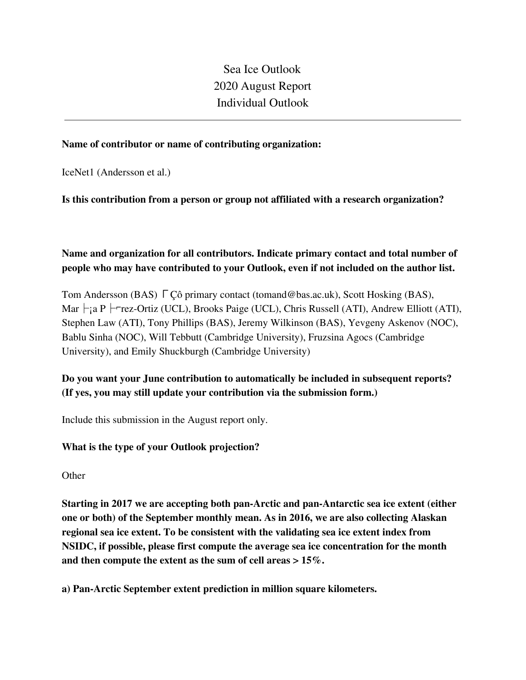Sea Ice Outlook 2020 August Report Individual Outlook

#### **Name of contributor or name of contributing organization:**

IceNet1 (Andersson et al.)

#### **Is this contribution from a person or group not affiliated with a research organization?**

## **Name and organization for all contributors. Indicate primary contact and total number of people who may have contributed to your Outlook, even if not included on the author list.**

Tom Andersson (BAS) ΓÇô primary contact (tomand@bas.ac.uk), Scott Hosking (BAS), Mar  $\vdash$ ; a P  $\vdash$ -rez-Ortiz (UCL), Brooks Paige (UCL), Chris Russell (ATI), Andrew Elliott (ATI), Stephen Law (ATI), Tony Phillips (BAS), Jeremy Wilkinson (BAS), Yevgeny Askenov (NOC), Bablu Sinha (NOC), Will Tebbutt (Cambridge University), Fruzsina Agocs (Cambridge University), and Emily Shuckburgh (Cambridge University)

# **Do you want your June contribution to automatically be included in subsequent reports? (If yes, you may still update your contribution via the submission form.)**

Include this submission in the August report only.

## **What is the type of your Outlook projection?**

**Other** 

**Starting in 2017 we are accepting both pan-Arctic and pan-Antarctic sea ice extent (either one or both) of the September monthly mean. As in 2016, we are also collecting Alaskan regional sea ice extent. To be consistent with the validating sea ice extent index from NSIDC, if possible, please first compute the average sea ice concentration for the month and then compute the extent as the sum of cell areas > 15%.**

**a) Pan-Arctic September extent prediction in million square kilometers.**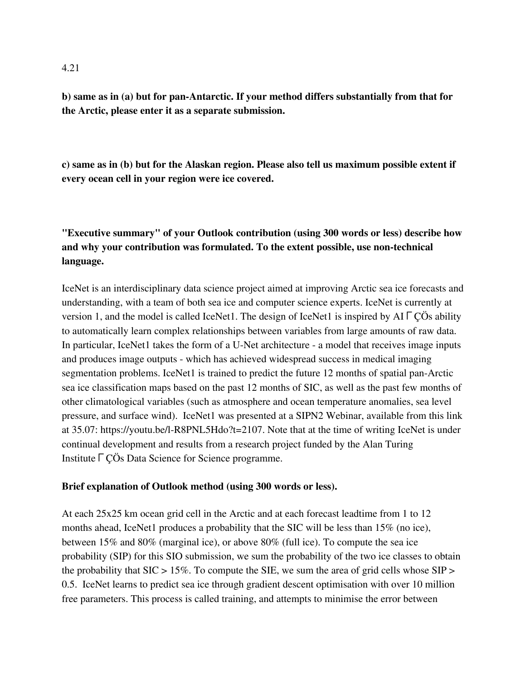**b) same as in (a) but for pan-Antarctic. If your method differs substantially from that for the Arctic, please enter it as a separate submission.**

**c) same as in (b) but for the Alaskan region. Please also tell us maximum possible extent if every ocean cell in your region were ice covered.**

# **"Executive summary" of your Outlook contribution (using 300 words or less) describe how and why your contribution was formulated. To the extent possible, use non-technical language.**

IceNet is an interdisciplinary data science project aimed at improving Arctic sea ice forecasts and understanding, with a team of both sea ice and computer science experts. IceNet is currently at version 1, and the model is called IceNet1. The design of IceNet1 is inspired by AIΓÇÖs ability to automatically learn complex relationships between variables from large amounts of raw data. In particular, IceNet1 takes the form of a U-Net architecture - a model that receives image inputs and produces image outputs - which has achieved widespread success in medical imaging segmentation problems. IceNet1 is trained to predict the future 12 months of spatial pan-Arctic sea ice classification maps based on the past 12 months of SIC, as well as the past few months of other climatological variables (such as atmosphere and ocean temperature anomalies, sea level pressure, and surface wind). IceNet1 was presented at a SIPN2 Webinar, available from this link at 35.07: https://youtu.be/l-R8PNL5Hdo?t=2107. Note that at the time of writing IceNet is under continual development and results from a research project funded by the Alan Turing InstituteΓÇÖs Data Science for Science programme.

#### **Brief explanation of Outlook method (using 300 words or less).**

At each 25x25 km ocean grid cell in the Arctic and at each forecast leadtime from 1 to 12 months ahead, IceNet1 produces a probability that the SIC will be less than 15% (no ice), between 15% and 80% (marginal ice), or above 80% (full ice). To compute the sea ice probability (SIP) for this SIO submission, we sum the probability of the two ice classes to obtain the probability that  $SIC > 15\%$ . To compute the SIE, we sum the area of grid cells whose  $SIP >$ 0.5. IceNet learns to predict sea ice through gradient descent optimisation with over 10 million free parameters. This process is called training, and attempts to minimise the error between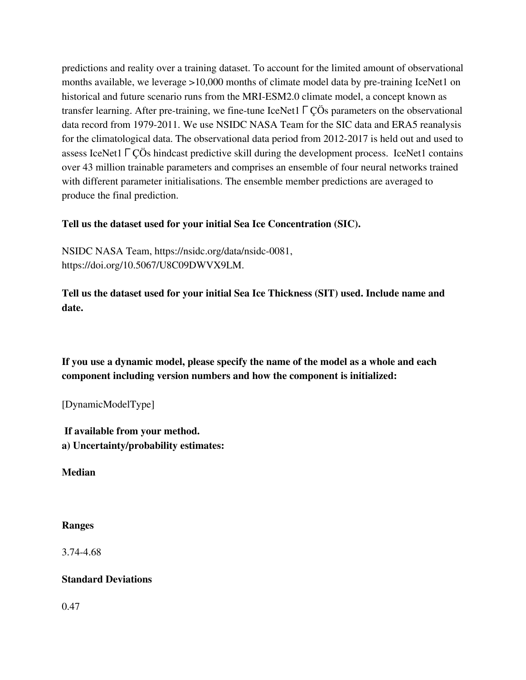predictions and reality over a training dataset. To account for the limited amount of observational months available, we leverage >10,000 months of climate model data by pre-training IceNet1 on historical and future scenario runs from the MRI-ESM2.0 climate model, a concept known as transfer learning. After pre-training, we fine-tune IceNet1ΓÇÖs parameters on the observational data record from 1979-2011. We use NSIDC NASA Team for the SIC data and ERA5 reanalysis for the climatological data. The observational data period from 2012-2017 is held out and used to assess IceNet1ΓÇÖs hindcast predictive skill during the development process. IceNet1 contains over 43 million trainable parameters and comprises an ensemble of four neural networks trained with different parameter initialisations. The ensemble member predictions are averaged to produce the final prediction.

#### **Tell us the dataset used for your initial Sea Ice Concentration (SIC).**

NSIDC NASA Team, https://nsidc.org/data/nsidc-0081, https://doi.org/10.5067/U8C09DWVX9LM.

**Tell us the dataset used for your initial Sea Ice Thickness (SIT) used. Include name and date.**

**If you use a dynamic model, please specify the name of the model as a whole and each component including version numbers and how the component is initialized:**

[DynamicModelType]

**If available from your method. a) Uncertainty/probability estimates:**

**Median**

#### **Ranges**

3.74-4.68

## **Standard Deviations**

0.47